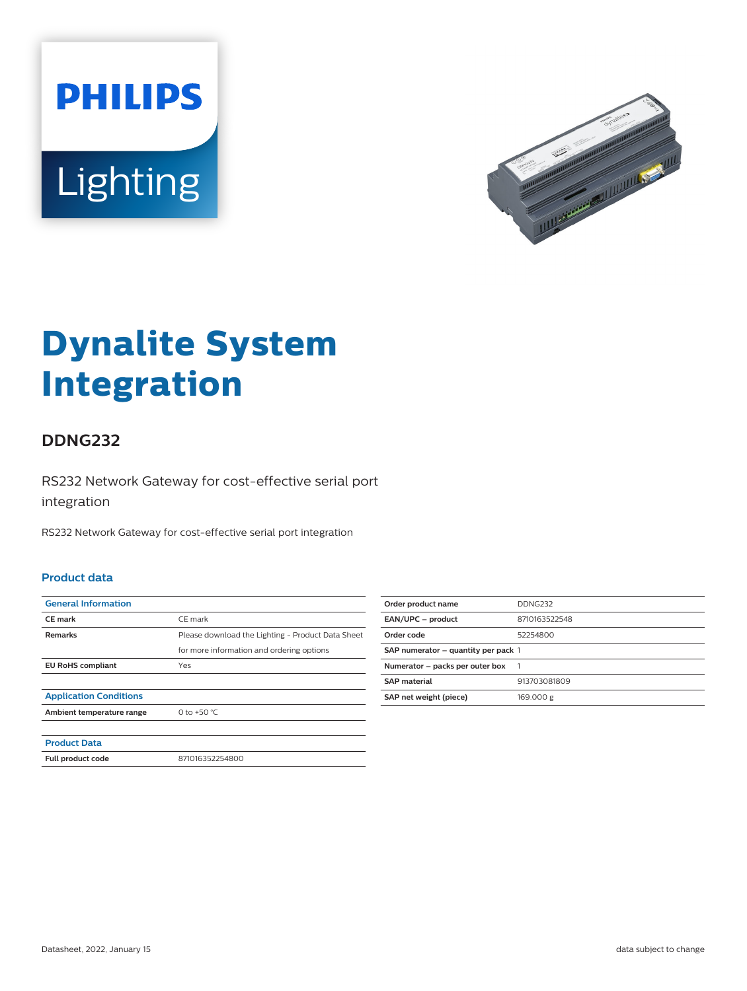



# **Dynalite System Integration**

## **DDNG232**

RS232 Network Gateway for cost-effective serial port integration

RS232 Network Gateway for cost-effective serial port integration

#### **Product data**

| <b>General Information</b>    |                                                   |
|-------------------------------|---------------------------------------------------|
| <b>CE</b> mark                | CE mark                                           |
| <b>Remarks</b>                | Please download the Lighting - Product Data Sheet |
|                               | for more information and ordering options         |
| <b>EU RoHS compliant</b>      | Yes                                               |
|                               |                                                   |
| <b>Application Conditions</b> |                                                   |
| Ambient temperature range     | 0 to +50 $^{\circ}$ C                             |
|                               |                                                   |
| <b>Product Data</b>           |                                                   |
| Full product code             | 871016352254800                                   |
|                               |                                                   |

| Order product name                  | DDNG232       |
|-------------------------------------|---------------|
| EAN/UPC - product                   | 8710163522548 |
| Order code                          | 52254800      |
| SAP numerator - quantity per pack 1 |               |
| Numerator - packs per outer box     |               |
| <b>SAP</b> material                 | 913703081809  |
| SAP net weight (piece)              | 169.000 g     |
|                                     |               |